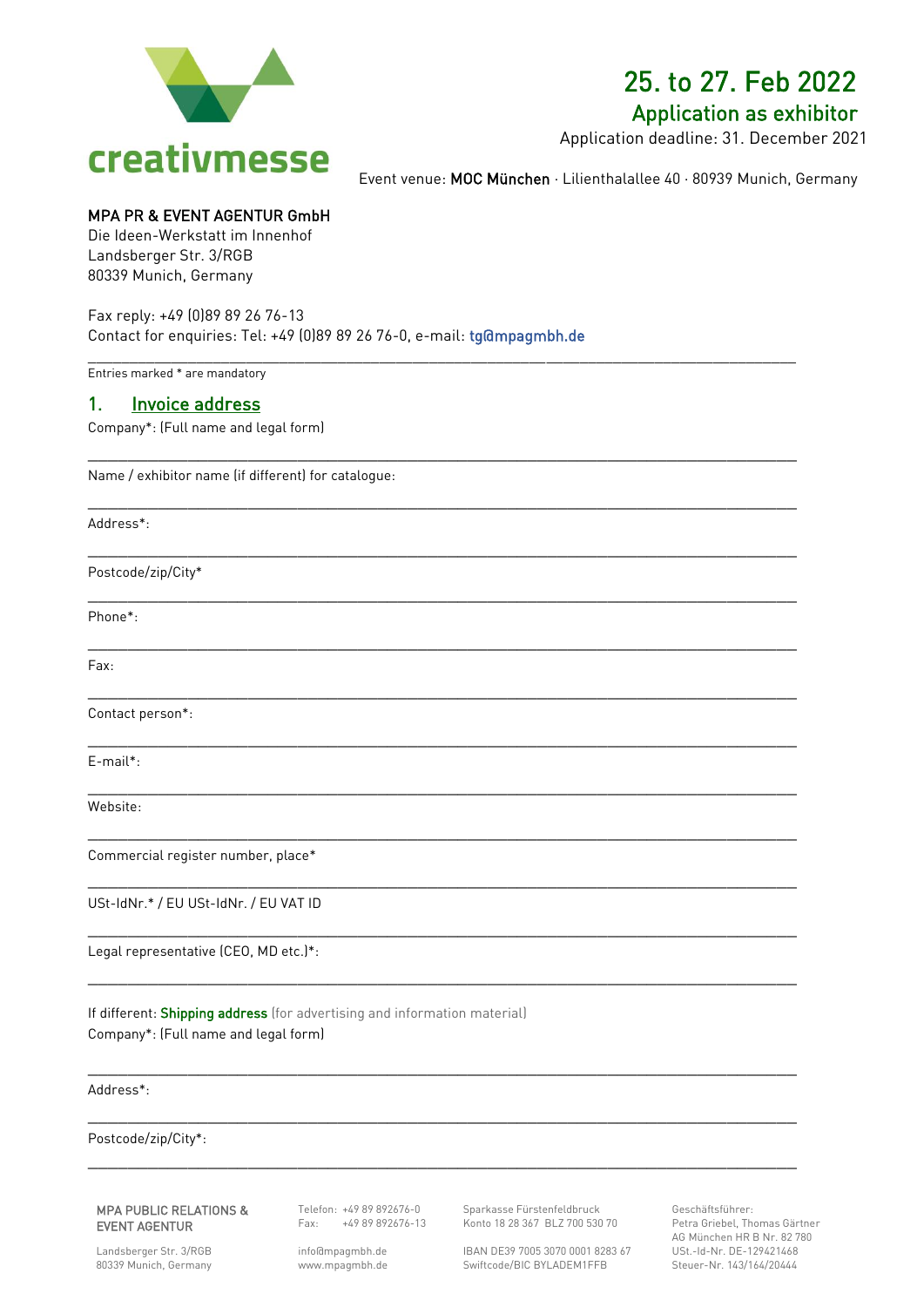

## 25. to 27. Feb 2022

### Application as exhibitor

Application deadline: 31. December 2021

Event venue: MOC München · Lilienthalallee 40 · 80939 Munich, Germany

### MPA PR & EVENT AGENTUR GmbH

Die Ideen-Werkstatt im Innenhof Landsberger Str. 3/RGB 80339 Munich, Germany

Fax reply: +49 (0)89 89 26 76-13 Contact for enquiries: Tel: +49 (0)89 89 26 76-0, e-mail: tg@mpagmbh.de

\_\_\_\_\_\_\_\_\_\_\_\_\_\_\_\_\_\_\_\_\_\_\_\_\_\_\_\_\_\_\_\_\_\_\_\_\_\_\_\_\_\_\_\_\_\_\_\_\_\_\_\_\_\_\_\_\_\_\_\_\_\_\_\_\_\_\_\_\_\_\_\_\_\_\_\_\_\_\_\_\_\_\_\_\_

 $\_$  ,  $\_$  ,  $\_$  ,  $\_$  ,  $\_$  ,  $\_$  ,  $\_$  ,  $\_$  ,  $\_$  ,  $\_$  ,  $\_$  ,  $\_$  ,  $\_$  ,  $\_$  ,  $\_$  ,  $\_$  ,  $\_$  ,  $\_$  ,  $\_$  ,  $\_$  ,  $\_$  ,  $\_$  ,  $\_$  ,  $\_$  ,  $\_$  ,  $\_$  ,  $\_$  ,  $\_$  ,  $\_$  ,  $\_$  ,  $\_$  ,  $\_$  ,  $\_$  ,  $\_$  ,  $\_$  ,  $\_$  ,  $\_$  ,

 $\_$  ,  $\_$  ,  $\_$  ,  $\_$  ,  $\_$  ,  $\_$  ,  $\_$  ,  $\_$  ,  $\_$  ,  $\_$  ,  $\_$  ,  $\_$  ,  $\_$  ,  $\_$  ,  $\_$  ,  $\_$  ,  $\_$  ,  $\_$  ,  $\_$  ,  $\_$  ,  $\_$  ,  $\_$  ,  $\_$  ,  $\_$  ,  $\_$  ,  $\_$  ,  $\_$  ,  $\_$  ,  $\_$  ,  $\_$  ,  $\_$  ,  $\_$  ,  $\_$  ,  $\_$  ,  $\_$  ,  $\_$  ,  $\_$  ,

\_\_\_\_\_\_\_\_\_\_\_\_\_\_\_\_\_\_\_\_\_\_\_\_\_\_\_\_\_\_\_\_\_\_\_\_\_\_\_\_\_\_\_\_\_\_\_\_\_\_\_\_\_\_\_\_\_\_\_\_\_\_\_\_\_\_\_\_\_\_\_

 $\_$  ,  $\_$  ,  $\_$  ,  $\_$  ,  $\_$  ,  $\_$  ,  $\_$  ,  $\_$  ,  $\_$  ,  $\_$  ,  $\_$  ,  $\_$  ,  $\_$  ,  $\_$  ,  $\_$  ,  $\_$  ,  $\_$  ,  $\_$  ,  $\_$  ,  $\_$  ,  $\_$  ,  $\_$  ,  $\_$  ,  $\_$  ,  $\_$  ,  $\_$  ,  $\_$  ,  $\_$  ,  $\_$  ,  $\_$  ,  $\_$  ,  $\_$  ,  $\_$  ,  $\_$  ,  $\_$  ,  $\_$  ,  $\_$  ,

 $\_$  ,  $\_$  ,  $\_$  ,  $\_$  ,  $\_$  ,  $\_$  ,  $\_$  ,  $\_$  ,  $\_$  ,  $\_$  ,  $\_$  ,  $\_$  ,  $\_$  ,  $\_$  ,  $\_$  ,  $\_$  ,  $\_$  ,  $\_$  ,  $\_$  ,  $\_$  ,  $\_$  ,  $\_$  ,  $\_$  ,  $\_$  ,  $\_$  ,  $\_$  ,  $\_$  ,  $\_$  ,  $\_$  ,  $\_$  ,  $\_$  ,  $\_$  ,  $\_$  ,  $\_$  ,  $\_$  ,  $\_$  ,  $\_$  ,

\_\_\_\_\_\_\_\_\_\_\_\_\_\_\_\_\_\_\_\_\_\_\_\_\_\_\_\_\_\_\_\_\_\_\_\_\_\_\_\_\_\_\_\_\_\_\_\_\_\_\_\_\_\_\_\_\_\_\_\_\_\_\_\_\_\_\_\_\_\_\_

\_\_\_\_\_\_\_\_\_\_\_\_\_\_\_\_\_\_\_\_\_\_\_\_\_\_\_\_\_\_\_\_\_\_\_\_\_\_\_\_\_\_\_\_\_\_\_\_\_\_\_\_\_\_\_\_\_\_\_\_\_\_\_\_\_\_\_\_\_\_\_

 $\_$  ,  $\_$  ,  $\_$  ,  $\_$  ,  $\_$  ,  $\_$  ,  $\_$  ,  $\_$  ,  $\_$  ,  $\_$  ,  $\_$  ,  $\_$  ,  $\_$  ,  $\_$  ,  $\_$  ,  $\_$  ,  $\_$  ,  $\_$  ,  $\_$  ,  $\_$  ,  $\_$  ,  $\_$  ,  $\_$  ,  $\_$  ,  $\_$  ,  $\_$  ,  $\_$  ,  $\_$  ,  $\_$  ,  $\_$  ,  $\_$  ,  $\_$  ,  $\_$  ,  $\_$  ,  $\_$  ,  $\_$  ,  $\_$  ,

\_\_\_\_\_\_\_\_\_\_\_\_\_\_\_\_\_\_\_\_\_\_\_\_\_\_\_\_\_\_\_\_\_\_\_\_\_\_\_\_\_\_\_\_\_\_\_\_\_\_\_\_\_\_\_\_\_\_\_\_\_\_\_\_\_\_\_\_\_\_\_

\_\_\_\_\_\_\_\_\_\_\_\_\_\_\_\_\_\_\_\_\_\_\_\_\_\_\_\_\_\_\_\_\_\_\_\_\_\_\_\_\_\_\_\_\_\_\_\_\_\_\_\_\_\_\_\_\_\_\_\_\_\_\_\_\_\_\_\_\_\_\_

\_\_\_\_\_\_\_\_\_\_\_\_\_\_\_\_\_\_\_\_\_\_\_\_\_\_\_\_\_\_\_\_\_\_\_\_\_\_\_\_\_\_\_\_\_\_\_\_\_\_\_\_\_\_\_\_\_\_\_\_\_\_\_\_\_\_\_\_\_\_\_

 $\_$  ,  $\_$  ,  $\_$  ,  $\_$  ,  $\_$  ,  $\_$  ,  $\_$  ,  $\_$  ,  $\_$  ,  $\_$  ,  $\_$  ,  $\_$  ,  $\_$  ,  $\_$  ,  $\_$  ,  $\_$  ,  $\_$  ,  $\_$  ,  $\_$  ,  $\_$  ,  $\_$  ,  $\_$  ,  $\_$  ,  $\_$  ,  $\_$  ,  $\_$  ,  $\_$  ,  $\_$  ,  $\_$  ,  $\_$  ,  $\_$  ,  $\_$  ,  $\_$  ,  $\_$  ,  $\_$  ,  $\_$  ,  $\_$  ,

\_\_\_\_\_\_\_\_\_\_\_\_\_\_\_\_\_\_\_\_\_\_\_\_\_\_\_\_\_\_\_\_\_\_\_\_\_\_\_\_\_\_\_\_\_\_\_\_\_\_\_\_\_\_\_\_\_\_\_\_\_\_\_\_\_\_\_\_\_\_\_

 $\_$  ,  $\_$  ,  $\_$  ,  $\_$  ,  $\_$  ,  $\_$  ,  $\_$  ,  $\_$  ,  $\_$  ,  $\_$  ,  $\_$  ,  $\_$  ,  $\_$  ,  $\_$  ,  $\_$  ,  $\_$  ,  $\_$  ,  $\_$  ,  $\_$  ,  $\_$  ,  $\_$  ,  $\_$  ,  $\_$  ,  $\_$  ,  $\_$  ,  $\_$  ,  $\_$  ,  $\_$  ,  $\_$  ,  $\_$  ,  $\_$  ,  $\_$  ,  $\_$  ,  $\_$  ,  $\_$  ,  $\_$  ,  $\_$  ,

Entries marked \* are mandatory

### 1. Invoice address

Company\*: (Full name and legal form)

Name / exhibitor name (if different) for catalogue:

Address\*:

Postcode/zip/City\*

Phone\*:

Fax: **Fax: Fax: Fax: Fax: Fax: Fax: Fax: Fax: Fax: Fax: Fax: Fax: Fax: Fax: Fax: Fax: Fax: Fax: Fax: Fax: Fax: Fax: Fax: Fax: Fax: Fax: Fax: Fax: Fax: Fax: Fax:**

Contact person\*:

E-mail\*: \_\_\_\_\_\_\_\_\_\_\_\_\_\_\_\_\_\_\_\_\_\_\_\_\_\_\_\_\_\_\_\_\_\_\_\_\_\_\_\_\_\_\_\_\_\_\_\_\_\_\_\_\_\_\_\_\_\_\_\_\_\_\_\_\_\_\_\_\_\_\_

Website:

Commercial register number, place\*

USt-IdNr.\* / EU USt-IdNr. / EU VAT ID

Legal representative (CEO, MD etc.)\*:

If different: Shipping address (for advertising and information material) Company\*: (Full name and legal form)

Address\*:

Postcode/zip/City\*:

#### MPA PUBLIC RELATIONS & EVENT AGENTUR

Telefon: +49 89 892676-0 Fax: +49 89 892676-13

Landsberger Str. 3/RGB 80339 Munich, Germany [info@m](about:blank)pagmbh.de www.mpagmbh.de Sparkasse Fürstenfeldbruck Konto 18 28 367 BLZ 700 530 70

IBAN DE39 7005 3070 0001 8283 67 Swiftcode/BIC BYLADEM1FFB

Geschäftsführer: Petra Griebel, Thomas Gärtner AG München HR B Nr. 82 780 USt.-Id-Nr. DE-129421468 Steuer-Nr. 143/164/20444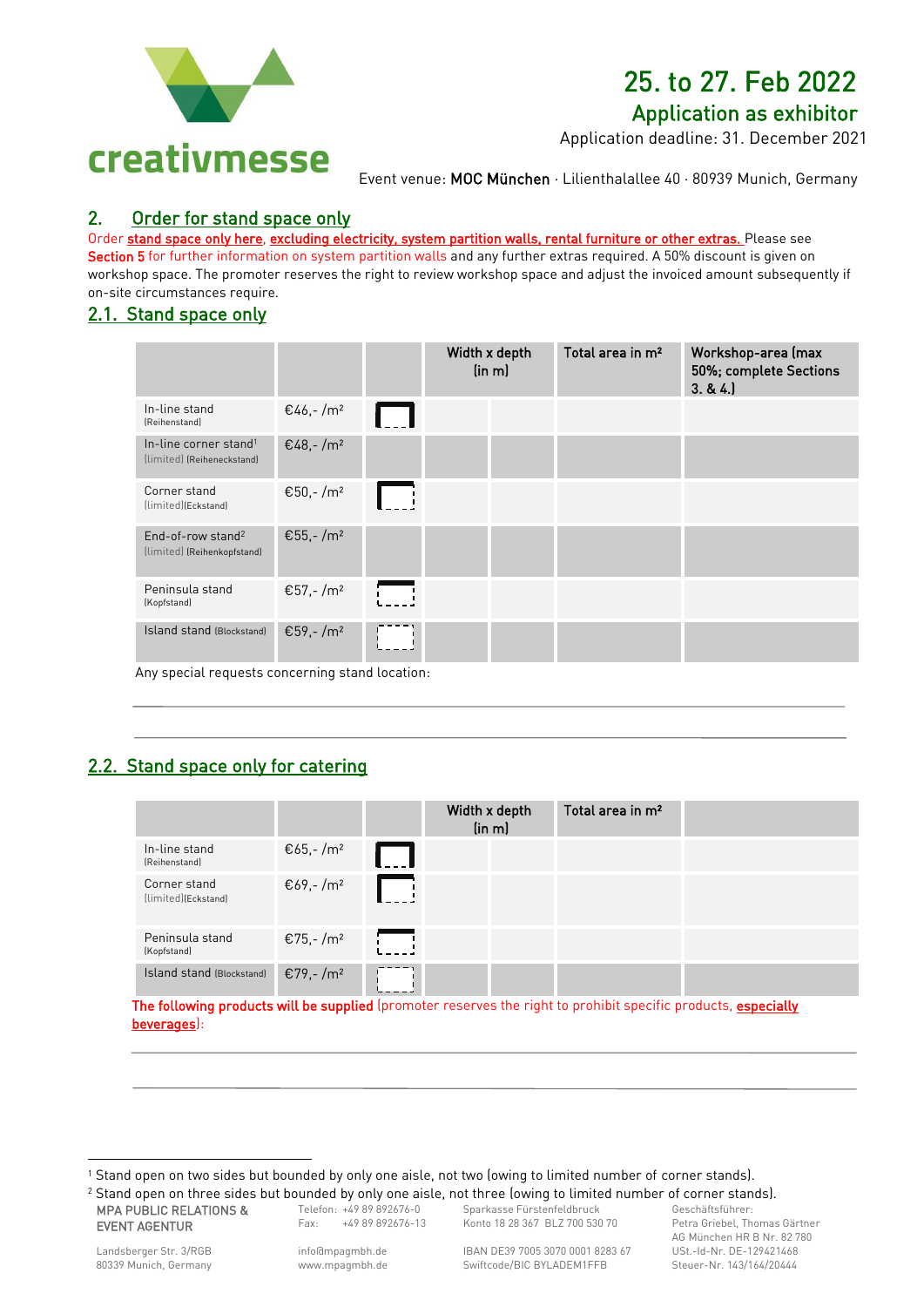

# 25. to 27. Feb 2022

Application as exhibitor

Application deadline: 31. December 2021

Event venue: MOC München · Lilienthalallee 40 · 80939 Munich, Germany

### 2. Order for stand space only

Order stand space only here, excluding electricity, system partition walls, rental furniture or other extras. Please see

Section 5 for further information on system partition walls and any further extras required. A 50% discount is given on workshop space. The promoter reserves the right to review workshop space and adjust the invoiced amount subsequently if on-site circumstances require.

### 2.1. Stand space only

|                                                                                        |                      |                                     | Width x depth<br>(in m) | Total area in m <sup>2</sup> | Workshop-area (max<br>50%; complete Sections<br>3.84. |
|----------------------------------------------------------------------------------------|----------------------|-------------------------------------|-------------------------|------------------------------|-------------------------------------------------------|
| In-line stand<br>(Reihenstand)                                                         | €46,-/m <sup>2</sup> | . .                                 |                         |                              |                                                       |
| In-line corner stand <sup>1</sup><br>(limited) (Reiheneckstand)                        | €48,-/m <sup>2</sup> |                                     |                         |                              |                                                       |
| Corner stand<br>(limited)(Eckstand)                                                    | €50,-/m <sup>2</sup> |                                     |                         |                              |                                                       |
| End-of-row stand <sup>2</sup><br>(limited) (Reihenkopfstand)                           | €55,-/m <sup>2</sup> |                                     |                         |                              |                                                       |
| Peninsula stand<br>(Kopfstand)                                                         | €57,-/m <sup>2</sup> |                                     |                         |                              |                                                       |
| <b>Island stand (Blockstand)</b><br>the property of the control of the<br>$\mathbf{A}$ | €59,-/m <sup>2</sup> | the contract of the contract of the |                         |                              |                                                       |

Any special requests concerning stand location:

### 2.2. Stand space only for catering

|                                     |                      | Width x depth | (in m) | Total area in m <sup>2</sup> |  |
|-------------------------------------|----------------------|---------------|--------|------------------------------|--|
| In-line stand<br>(Reihenstand)      | €65,-/m <sup>2</sup> |               |        |                              |  |
| Corner stand<br>(limited)(Eckstand) | €69,-/m <sup>2</sup> |               |        |                              |  |
| Peninsula stand<br>(Kopfstand)      | €75,-/m <sup>2</sup> |               |        |                              |  |
| Island stand (Blockstand)           | €79,-/m <sup>2</sup> |               |        |                              |  |

The following products will be supplied (promoter reserves the right to prohibit specific products, especially beverages):

MPA PUBLIC RELATIONS & EVENT AGENTUR

Telefon: +49 89 892676-0 Fax: +49 89 892676-13 Sparkasse Fürstenfeldbruck Konto 18 28 367 BLZ 700 530 70

IBAN DE39 7005 3070 0001 8283 67 Swiftcode/BIC BYLADEM1FFB

Geschäftsführer: Petra Griebel, Thomas Gärtner AG München HR B Nr. 82 780 USt.-Id-Nr. DE-129421468 Steuer-Nr. 143/164/20444

1

[info@m](about:blank)pagmbh.de www.mpagmbh.de

<sup>1</sup> Stand open on two sides but bounded by only one aisle, not two (owing to limited number of corner stands). <sup>2</sup> Stand open on three sides but bounded by only one aisle, not three (owing to limited number of corner stands).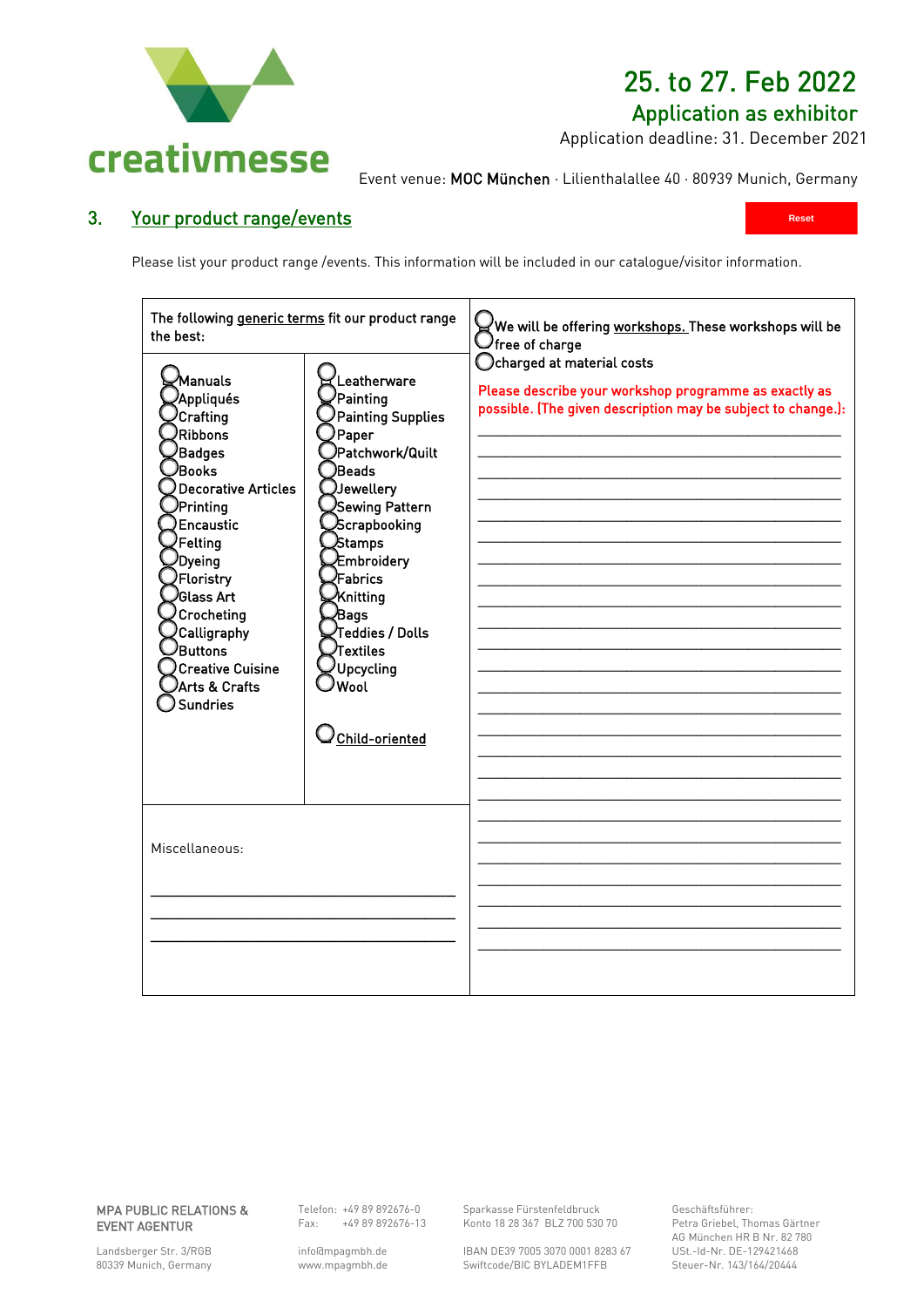

## 25. to 27. Feb 2022

### Application as exhibitor

**Reset**

Application deadline: 31. December 2021

Event venue: MOC München · Lilienthalallee 40 · 80939 Munich, Germany

### 3. Your product range/events

Please list your product range /events. This information will be included in our catalogue/visitor information.

| The following generic terms fit our product range<br>the best:                                                                                                                                                                                                                                   |                                                                                                                                                                                                                                                                                       | We will be offering <u>workshops. T</u> hese workshops will be<br>$\lambda$ free of charge                                                          |
|--------------------------------------------------------------------------------------------------------------------------------------------------------------------------------------------------------------------------------------------------------------------------------------------------|---------------------------------------------------------------------------------------------------------------------------------------------------------------------------------------------------------------------------------------------------------------------------------------|-----------------------------------------------------------------------------------------------------------------------------------------------------|
| ⁄Manuals<br>Appliqués<br>Crafting<br><b>Ribbons</b><br>Badges<br>)Books<br>Decorative Articles<br>Printing<br>Encaustic<br>Felting<br><sup>)</sup> Dyeing<br>Floristry<br><sup>)</sup> Glass Art<br>Crocheting<br>Calligraphy<br>Buttons<br><b>Creative Cuisine</b><br>Arts & Crafts<br>Sundries | Leatherware<br>Painting<br><b>Painting Supplies</b><br>Paper<br>Patchwork/Quilt<br>)Beads<br>$\Box$ Jewellery<br>Sewing Pattern<br>Scrapbooking<br>Stamps<br><b>Embroidery</b><br>Fabrics<br>Knitting<br>∕Bags<br>Teddies / Dolls<br>Textiles<br>Upcycling<br>Wool)<br>Child-oriented | Ocharged at material costs<br>Please describe your workshop programme as exactly as<br>possible. (The given description may be subject to change.): |
| Miscellaneous:                                                                                                                                                                                                                                                                                   |                                                                                                                                                                                                                                                                                       |                                                                                                                                                     |
|                                                                                                                                                                                                                                                                                                  |                                                                                                                                                                                                                                                                                       |                                                                                                                                                     |

#### MPA PUBLIC RELATIONS & EVENT AGENTUR

Telefon: +49 89 892676-0 Fax: +49 89 892676-13

Landsberger Str. 3/RGB 80339 Munich, Germany [info@m](about:blank)pagmbh.de www.mpagmbh.de Sparkasse Fürstenfeldbruck Konto 18 28 367 BLZ 700 530 70

IBAN DE39 7005 3070 0001 8283 67 Swiftcode/BIC BYLADEM1FFB

Geschäftsführer: Petra Griebel, Thomas Gärtner AG München HR B Nr. 82 780 USt.-Id-Nr. DE-129421468 Steuer-Nr. 143/164/20444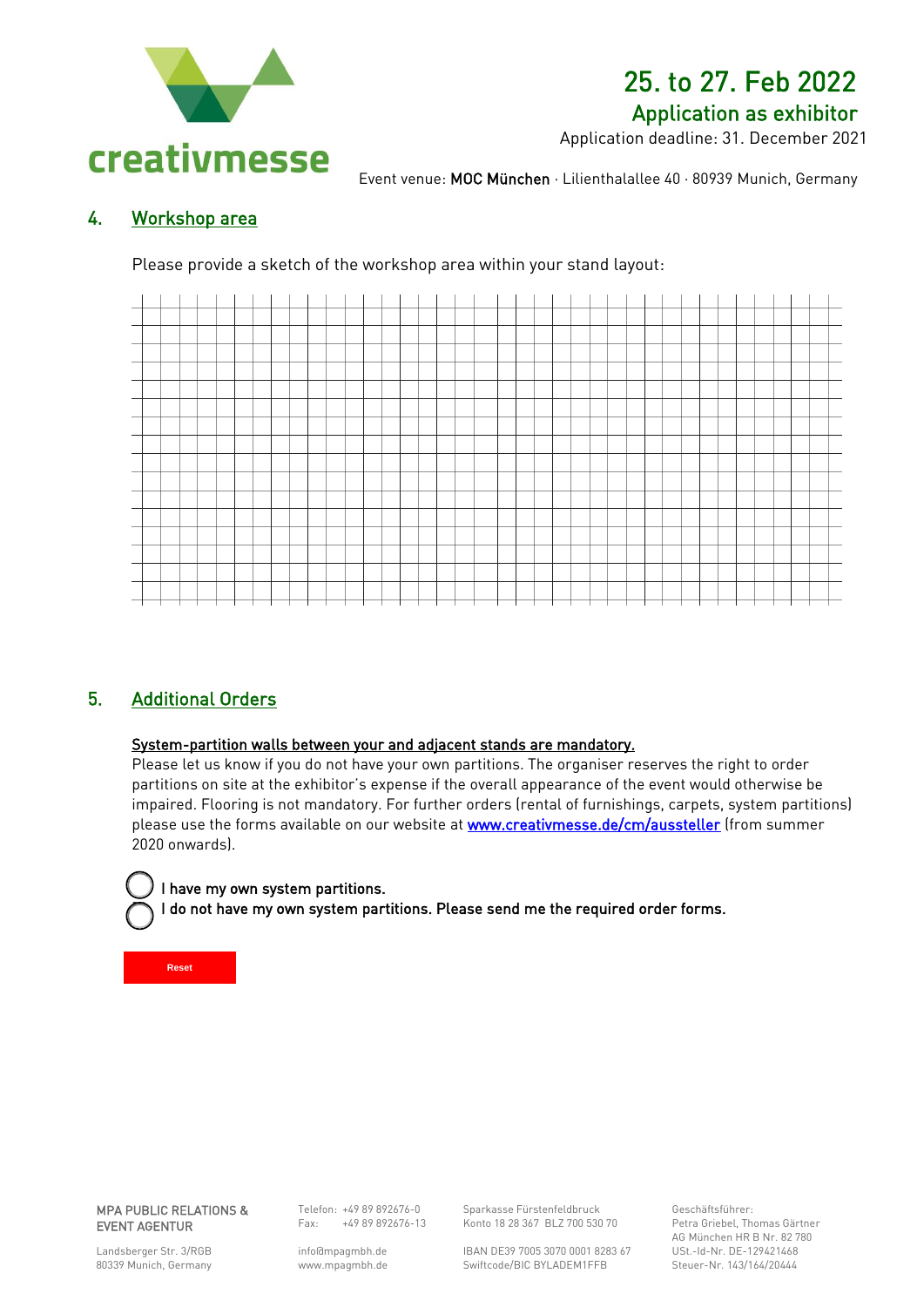

## 25. to 27. Feb 2022 Application as exhibitor

Application deadline: 31. December 2021

Event venue: MOC München · Lilienthalallee 40 · 80939 Munich, Germany

### 4. Workshop area

Please provide a sketch of the workshop area within your stand layout:



### 5. Additional Orders

### System-partition walls between your and adjacent stands are mandatory.

Please let us know if you do not have your own partitions. The organiser reserves the right to order partitions on site at the exhibitor's expense if the overall appearance of the event would otherwise be impaired. Flooring is not mandatory. For further orders (rental of furnishings, carpets, system partitions) please use the forms available on our website at www.creativmesse.de/cm/aussteller (from summer 2020 onwards).

### I have my own system partitions.

I do not have my own system partitions. Please send me the required order forms.

**Reset**

j

۱

MPA PUBLIC RELATIONS & EVENT AGENTUR

Telefon: +49 89 892676-0  $Fax: +4989892676-13$ 

Konto 18 28 367 BLZ 700 530 70

IBAN DE39 7005 3070 0001 8283 67 Swiftcode/BIC BYLADEM1FFB

Sparkasse Fürstenfeldbruck

Geschäftsführer: Petra Griebel, Thomas Gärtner AG München HR B Nr. 82 780 USt.-Id-Nr. DE-129421468 Steuer-Nr. 143/164/20444

Landsberger Str. 3/RGB 80339 Munich, Germany [info@m](about:blank)pagmbh.de www.mpagmbh.de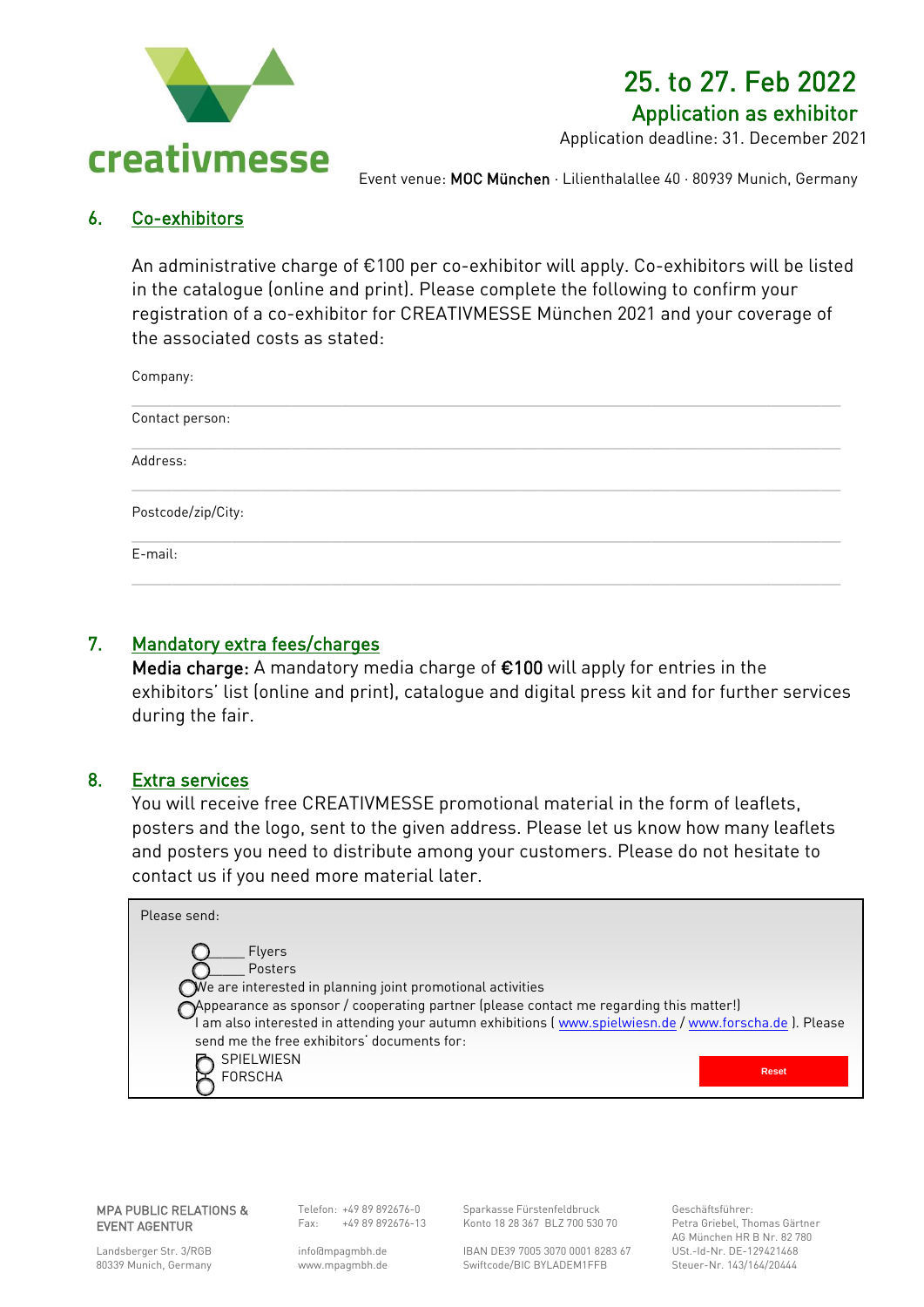

### 25. to 27. Feb 2022 Application as exhibitor

Application deadline: 31. December 2021

Event venue: MOC München · Lilienthalallee 40 · 80939 Munich, Germany

### 6. Co-exhibitors

An administrative charge of €100 per co-exhibitor will apply. Co-exhibitors will be listed in the catalogue (online and print). Please complete the following to confirm your registration of a co-exhibitor for CREATIVMESSE München 2021 and your coverage of the associated costs as stated:

| Company:           |  |  |  |
|--------------------|--|--|--|
| Contact person:    |  |  |  |
| Address:           |  |  |  |
| Postcode/zip/City: |  |  |  |
| E-mail:            |  |  |  |
|                    |  |  |  |

### 7. Mandatory extra fees/charges

Media charge: A mandatory media charge of €100 will apply for entries in the exhibitors' list (online and print), catalogue and digital press kit and for further services during the fair.

### 8. Extra services

You will receive free CREATIVMESSE promotional material in the form of leaflets, posters and the logo, sent to the given address. Please let us know how many leaflets and posters you need to distribute among your customers. Please do not hesitate to contact us if you need more material later.

| Please send:                                                                                                                                                                                                                                                                                                     |              |
|------------------------------------------------------------------------------------------------------------------------------------------------------------------------------------------------------------------------------------------------------------------------------------------------------------------|--------------|
| <b>Flyers</b><br>Posters<br>$\bigcirc$ We are interested in planning joint promotional activities<br>OAppearance as sponsor / cooperating partner (please contact me regarding this matter!)<br>I am also interested in attending your autumn exhibitions (voluminally spielwies n.de / www.forscha.de ). Please |              |
| send me the free exhibitors' documents for:<br>SPIELWIESN<br>FORSCHA                                                                                                                                                                                                                                             | <b>Reset</b> |

MPA PUBLIC RELATIONS & EVENT AGENTUR

Telefon: +49 89 892676-0 Fax: +49 89 892676-13 Sparkasse Fürstenfeldbruck Konto 18 28 367 BLZ 700 530 70

IBAN DE39 7005 3070 0001 8283 67 Swiftcode/BIC BYLADEM1FFB

Geschäftsführer: Petra Griebel, Thomas Gärtner AG München HR B Nr. 82 780 USt.-Id-Nr. DE-129421468 Steuer-Nr. 143/164/20444

Landsberger Str. 3/RGB 80339 Munich, Germany [info@m](about:blank)pagmbh.de www.mpagmbh.de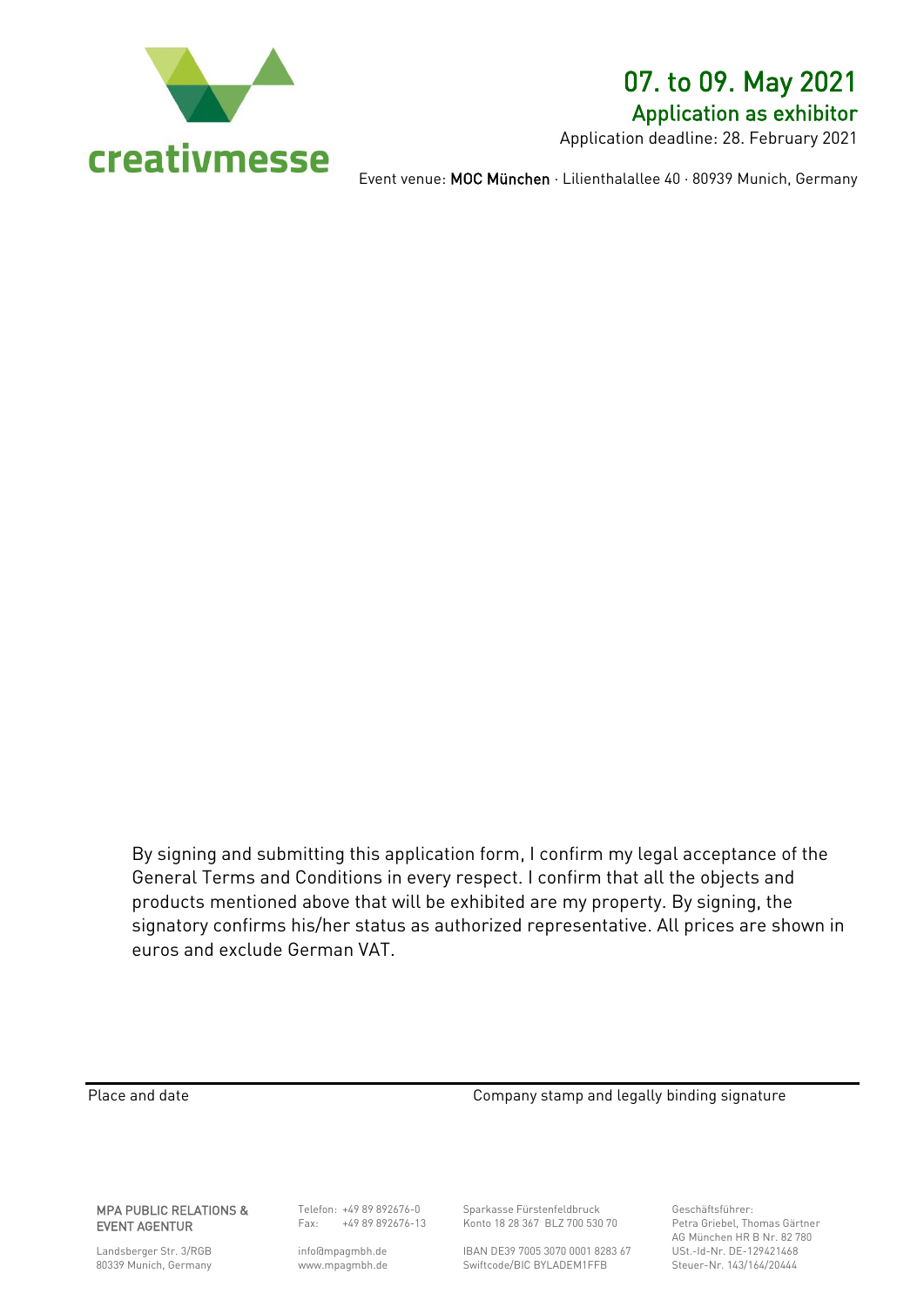

### 07. to 09. May 2021 Application as exhibitor

Application deadline: 28. February 2021

Event venue: MOC München · Lilienthalallee 40 · 80939 Munich, Germany

By signing and submitting this application form, I confirm my legal acceptance of the General Terms and Conditions in every respect. I confirm that all the objects and products mentioned above that will be exhibited are my property. By signing, the signatory confirms his/her status as authorized representative. All prices are shown in euros and exclude German VAT.

Place and date **Company stamp and legally binding signature** 

MPA PUBLIC RELATIONS & EVENT AGENTUR

Landsberger Str. 3/RGB 80339 Munich, Germany

Telefon: +49 89 892676-0 Fax: +49 89 892676-13

[info@m](about:blank)pagmbh.de www.mpagmbh.de Sparkasse Fürstenfeldbruck Konto 18 28 367 BLZ 700 530 70

IBAN DE39 7005 3070 0001 8283 67 Swiftcode/BIC BYLADEM1FFB

Geschäftsführer: Petra Griebel, Thomas Gärtner AG München HR B Nr. 82 780 USt.-Id-Nr. DE-129421468 Steuer-Nr. 143/164/20444